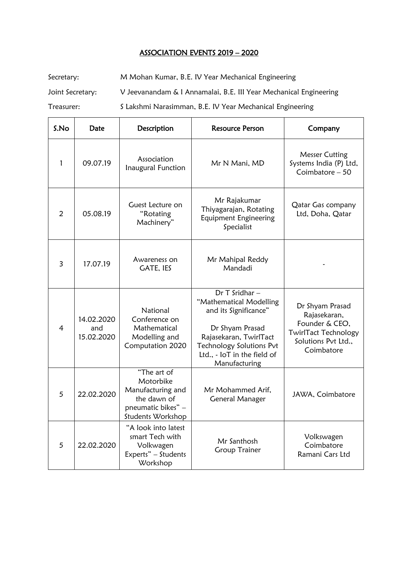## ASSOCIATION EVENTS 2019 – 2020

Secretary: M Mohan Kumar, B.E. IV Year Mechanical Engineering Joint Secretary: V Jeevanandam & I Annamalai, B.E. III Year Mechanical Engineering Treasurer: S Lakshmi Narasimman, B.E. IV Year Mechanical Engineering

| S.No           | Date                            | Description                                                                                             | <b>Resource Person</b>                                                                                                                                                                     | Company                                                                                                               |
|----------------|---------------------------------|---------------------------------------------------------------------------------------------------------|--------------------------------------------------------------------------------------------------------------------------------------------------------------------------------------------|-----------------------------------------------------------------------------------------------------------------------|
| 1              | 09.07.19                        | Association<br>Inaugural Function                                                                       | Mr N Mani, MD                                                                                                                                                                              | <b>Messer Cutting</b><br>Systems India (P) Ltd,<br>Coimbatore $-50$                                                   |
| $\overline{2}$ | 05.08.19                        | Guest Lecture on<br>"Rotating<br>Machinery"                                                             | Mr Rajakumar<br>Thiyagarajan, Rotating<br>Equipment Engineering<br>Specialist                                                                                                              | Qatar Gas company<br>Ltd, Doha, Qatar                                                                                 |
| 3              | 17.07.19                        | Awareness on<br><b>GATE, IES</b>                                                                        | Mr Mahipal Reddy<br>Mandadi                                                                                                                                                                |                                                                                                                       |
| $\overline{4}$ | 14.02.2020<br>and<br>15.02.2020 | National<br>Conference on<br>Mathematical<br>Modelling and<br>Computation 2020                          | Dr T Sridhar-<br>"Mathematical Modelling<br>and its Significance"<br>Dr Shyam Prasad<br>Rajasekaran, TwirlTact<br>Technology Solutions Pvt<br>Ltd., - IoT in the field of<br>Manufacturing | Dr Shyam Prasad<br>Rajasekaran,<br>Founder & CEO,<br><b>TwirlTact Technology</b><br>Solutions Pvt Ltd.,<br>Coimbatore |
| 5              | 22.02.2020                      | "The art of<br>Motorbike<br>Manufacturing and<br>the dawn of<br>pneumatic bikes" -<br>Students Workshop | Mr Mohammed Arif,<br><b>General Manager</b>                                                                                                                                                | JAWA, Coimbatore                                                                                                      |
| 5              | 22.02.2020                      | "A look into latest<br>smart Tech with<br>Volkwagen<br>Experts" - Students<br>Workshop                  | Mr Santhosh<br><b>Group Trainer</b>                                                                                                                                                        | Volkswagen<br>Coimbatore<br>Ramani Cars Ltd                                                                           |